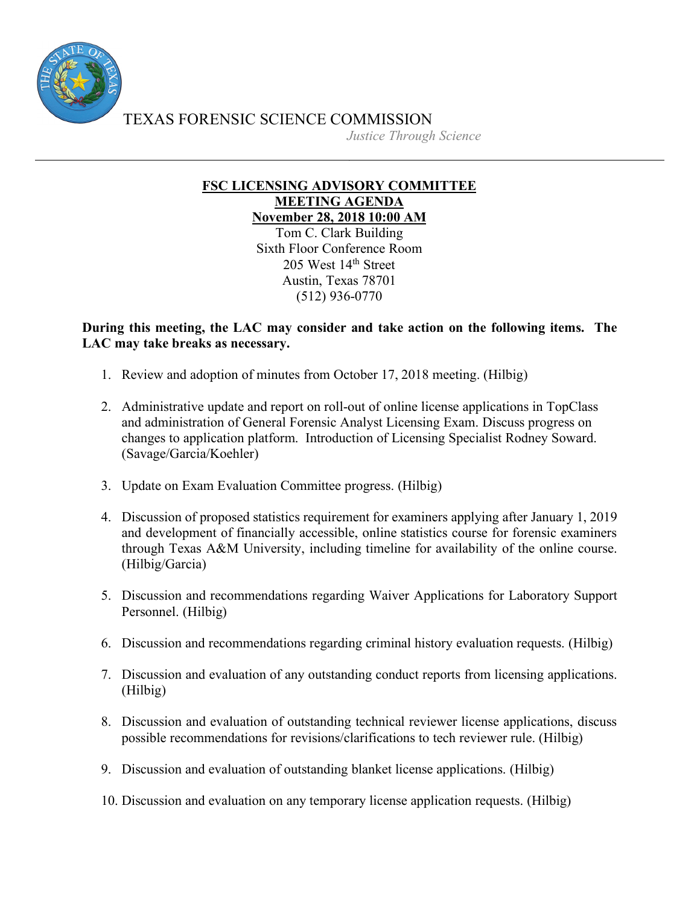

TEXAS FORENSIC SCIENCE COMMISSION

*Justice Through Science*

## **FSC LICENSING ADVISORY COMMITTEE MEETING AGENDA November 28, 2018 10:00 AM**

Tom C. Clark Building Sixth Floor Conference Room 205 West 14th Street Austin, Texas 78701 (512) 936-0770

## **During this meeting, the LAC may consider and take action on the following items. The LAC may take breaks as necessary.**

- 1. Review and adoption of minutes from October 17, 2018 meeting. (Hilbig)
- 2. Administrative update and report on roll-out of online license applications in TopClass and administration of General Forensic Analyst Licensing Exam. Discuss progress on changes to application platform. Introduction of Licensing Specialist Rodney Soward. (Savage/Garcia/Koehler)
- 3. Update on Exam Evaluation Committee progress. (Hilbig)
- 4. Discussion of proposed statistics requirement for examiners applying after January 1, 2019 and development of financially accessible, online statistics course for forensic examiners through Texas A&M University, including timeline for availability of the online course. (Hilbig/Garcia)
- 5. Discussion and recommendations regarding Waiver Applications for Laboratory Support Personnel. (Hilbig)
- 6. Discussion and recommendations regarding criminal history evaluation requests. (Hilbig)
- 7. Discussion and evaluation of any outstanding conduct reports from licensing applications. (Hilbig)
- 8. Discussion and evaluation of outstanding technical reviewer license applications, discuss possible recommendations for revisions/clarifications to tech reviewer rule. (Hilbig)
- 9. Discussion and evaluation of outstanding blanket license applications. (Hilbig)
- 10. Discussion and evaluation on any temporary license application requests. (Hilbig)